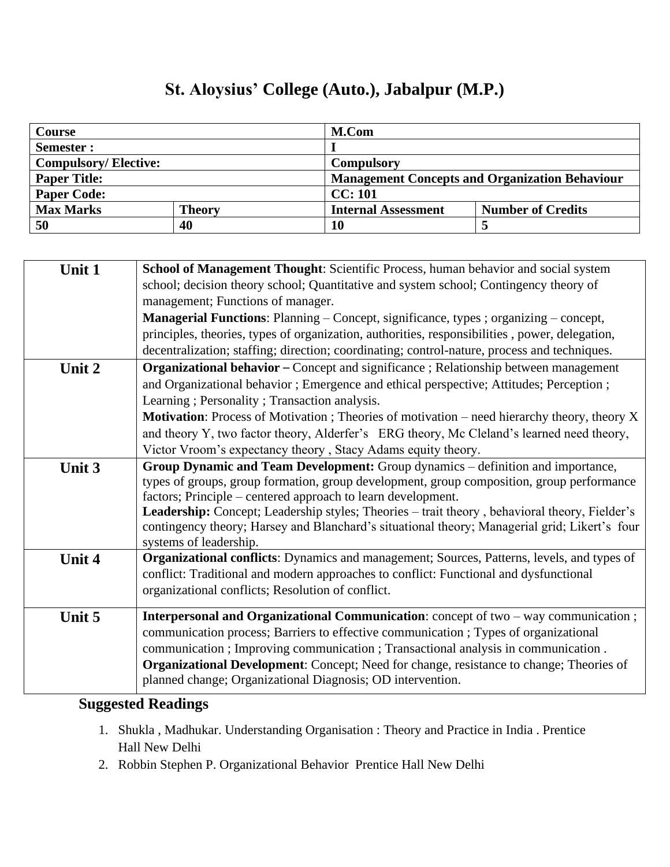# **St. Aloysius' College (Auto.), Jabalpur (M.P.)**

| <b>Course</b>               |               | M.Com                                                 |                   |
|-----------------------------|---------------|-------------------------------------------------------|-------------------|
| Semester :                  |               |                                                       |                   |
| <b>Compulsory/Elective:</b> |               | <b>Compulsory</b>                                     |                   |
| <b>Paper Title:</b>         |               | <b>Management Concepts and Organization Behaviour</b> |                   |
| <b>Paper Code:</b>          |               | CC: 101                                               |                   |
| <b>Max Marks</b>            | <b>Theory</b> | <b>Internal Assessment</b>                            | Number of Credits |
| 50                          | 40            | 10                                                    | J                 |

| Unit 1 | School of Management Thought: Scientific Process, human behavior and social system                                      |  |  |
|--------|-------------------------------------------------------------------------------------------------------------------------|--|--|
|        | school; decision theory school; Quantitative and system school; Contingency theory of                                   |  |  |
|        | management; Functions of manager.                                                                                       |  |  |
|        | <b>Managerial Functions:</b> Planning – Concept, significance, types; organizing – concept,                             |  |  |
|        | principles, theories, types of organization, authorities, responsibilities, power, delegation,                          |  |  |
|        | decentralization; staffing; direction; coordinating; control-nature, process and techniques.                            |  |  |
| Unit 2 | Organizational behavior - Concept and significance ; Relationship between management                                    |  |  |
|        | and Organizational behavior; Emergence and ethical perspective; Attitudes; Perception;                                  |  |  |
|        | Learning; Personality; Transaction analysis.                                                                            |  |  |
|        | Motivation: Process of Motivation ; Theories of motivation - need hierarchy theory, theory X                            |  |  |
|        | and theory Y, two factor theory, Alderfer's ERG theory, Mc Cleland's learned need theory,                               |  |  |
|        | Victor Vroom's expectancy theory, Stacy Adams equity theory.                                                            |  |  |
| Unit 3 | Group Dynamic and Team Development: Group dynamics - definition and importance,                                         |  |  |
|        | types of groups, group formation, group development, group composition, group performance                               |  |  |
|        | factors; Principle – centered approach to learn development.                                                            |  |  |
|        | Leadership: Concept; Leadership styles; Theories - trait theory, behavioral theory, Fielder's                           |  |  |
|        | contingency theory; Harsey and Blanchard's situational theory; Managerial grid; Likert's four<br>systems of leadership. |  |  |
| Unit 4 | Organizational conflicts: Dynamics and management; Sources, Patterns, levels, and types of                              |  |  |
|        | conflict: Traditional and modern approaches to conflict: Functional and dysfunctional                                   |  |  |
|        | organizational conflicts; Resolution of conflict.                                                                       |  |  |
|        |                                                                                                                         |  |  |
| Unit 5 | Interpersonal and Organizational Communication: concept of two - way communication;                                     |  |  |
|        | communication process; Barriers to effective communication; Types of organizational                                     |  |  |
|        | communication; Improving communication; Transactional analysis in communication.                                        |  |  |
|        | <b>Organizational Development:</b> Concept; Need for change, resistance to change; Theories of                          |  |  |
|        | planned change; Organizational Diagnosis; OD intervention.                                                              |  |  |

- 1. Shukla , Madhukar. Understanding Organisation : Theory and Practice in India . Prentice Hall New Delhi
- 2. Robbin Stephen P. Organizational Behavior Prentice Hall New Delhi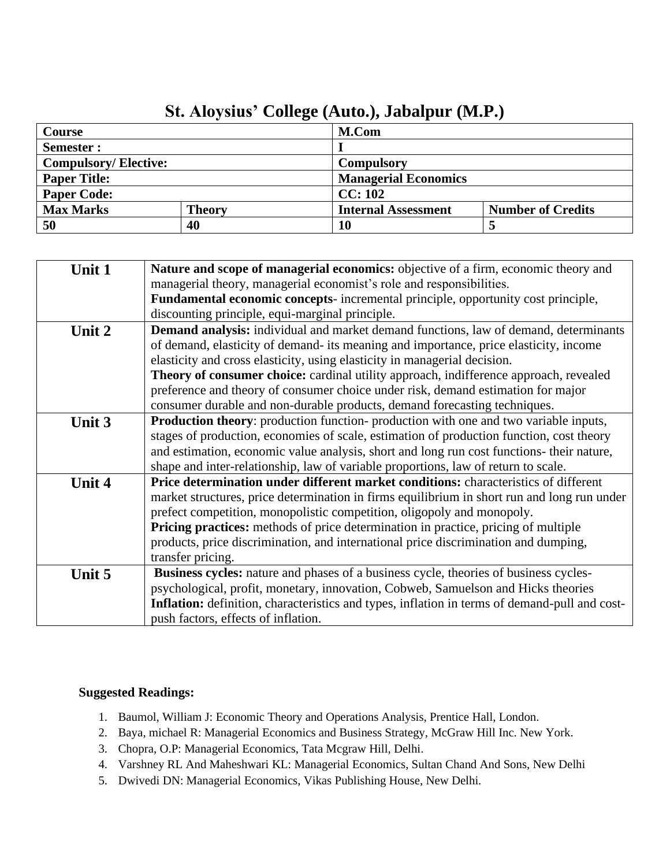|                             | $\sim$ . The state conce (trace), one applied that $\sim$ |                             |                          |
|-----------------------------|-----------------------------------------------------------|-----------------------------|--------------------------|
| Course                      |                                                           | M.Com                       |                          |
| <b>Semester :</b>           |                                                           |                             |                          |
| <b>Compulsory/Elective:</b> |                                                           | <b>Compulsory</b>           |                          |
| <b>Paper Title:</b>         |                                                           | <b>Managerial Economics</b> |                          |
| <b>Paper Code:</b>          |                                                           | CC: 102                     |                          |
| <b>Max Marks</b>            | <b>Theory</b>                                             | <b>Internal Assessment</b>  | <b>Number of Credits</b> |
| 50                          | 40                                                        | 10                          |                          |

### **St. Aloysius' College (Auto.), Jabalpur (M.P.)**

| Unit 1 | Nature and scope of managerial economics: objective of a firm, economic theory and            |
|--------|-----------------------------------------------------------------------------------------------|
|        | managerial theory, managerial economist's role and responsibilities.                          |
|        | <b>Fundamental economic concepts-</b> incremental principle, opportunity cost principle,      |
|        | discounting principle, equi-marginal principle.                                               |
| Unit 2 | <b>Demand analysis:</b> individual and market demand functions, law of demand, determinants   |
|        | of demand, elasticity of demand- its meaning and importance, price elasticity, income         |
|        | elasticity and cross elasticity, using elasticity in managerial decision.                     |
|        | <b>Theory of consumer choice:</b> cardinal utility approach, indifference approach, revealed  |
|        | preference and theory of consumer choice under risk, demand estimation for major              |
|        | consumer durable and non-durable products, demand forecasting techniques.                     |
| Unit 3 | <b>Production theory:</b> production function- production with one and two variable inputs,   |
|        | stages of production, economies of scale, estimation of production function, cost theory      |
|        | and estimation, economic value analysis, short and long run cost functions- their nature,     |
|        | shape and inter-relationship, law of variable proportions, law of return to scale.            |
| Unit 4 | Price determination under different market conditions: characteristics of different           |
|        | market structures, price determination in firms equilibrium in short run and long run under   |
|        | prefect competition, monopolistic competition, oligopoly and monopoly.                        |
|        | Pricing practices: methods of price determination in practice, pricing of multiple            |
|        | products, price discrimination, and international price discrimination and dumping,           |
|        | transfer pricing.                                                                             |
| Unit 5 | <b>Business cycles:</b> nature and phases of a business cycle, theories of business cycles-   |
|        | psychological, profit, monetary, innovation, Cobweb, Samuelson and Hicks theories             |
|        | Inflation: definition, characteristics and types, inflation in terms of demand-pull and cost- |
|        | push factors, effects of inflation.                                                           |
|        |                                                                                               |

- 1. Baumol, William J: Economic Theory and Operations Analysis, Prentice Hall, London.
- 2. Baya, michael R: Managerial Economics and Business Strategy, McGraw Hill Inc. New York.
- 3. Chopra, O.P: Managerial Economics, Tata Mcgraw Hill, Delhi.
- 4. Varshney RL And Maheshwari KL: Managerial Economics, Sultan Chand And Sons, New Delhi
- 5. Dwivedi DN: Managerial Economics, Vikas Publishing House, New Delhi.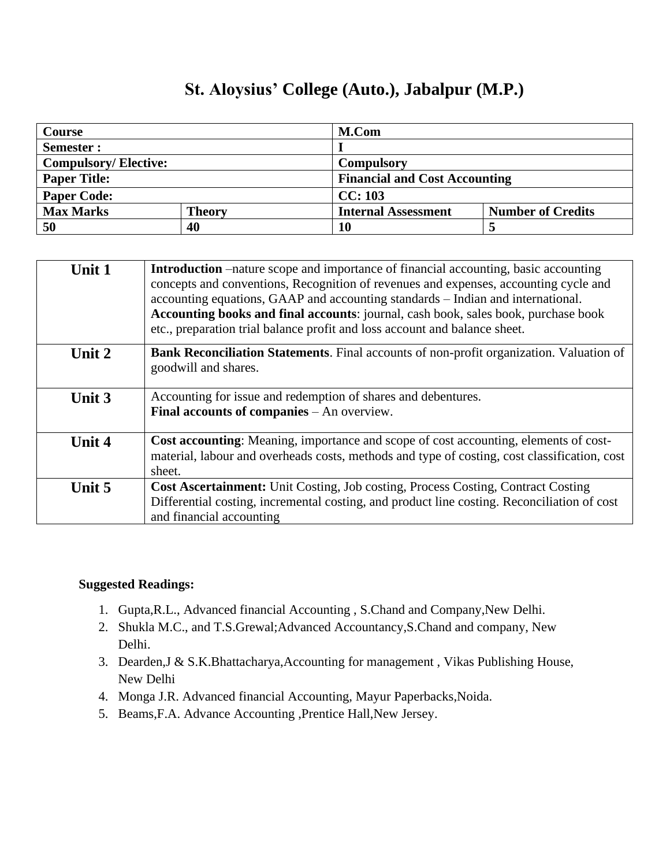## **St. Aloysius' College (Auto.), Jabalpur (M.P.)**

| <b>Course</b>               |               | M.Com                                |                          |
|-----------------------------|---------------|--------------------------------------|--------------------------|
| Semester :                  |               |                                      |                          |
| <b>Compulsory/Elective:</b> |               | Compulsory                           |                          |
| <b>Paper Title:</b>         |               | <b>Financial and Cost Accounting</b> |                          |
| <b>Paper Code:</b>          |               | CC: 103                              |                          |
| <b>Max Marks</b>            | <b>Theory</b> | <b>Internal Assessment</b>           | <b>Number of Credits</b> |
| 50                          | 40            | 10                                   |                          |

| Unit 1 | Introduction –nature scope and importance of financial accounting, basic accounting<br>concepts and conventions, Recognition of revenues and expenses, accounting cycle and<br>accounting equations, GAAP and accounting standards – Indian and international.<br>Accounting books and final accounts: journal, cash book, sales book, purchase book<br>etc., preparation trial balance profit and loss account and balance sheet. |
|--------|------------------------------------------------------------------------------------------------------------------------------------------------------------------------------------------------------------------------------------------------------------------------------------------------------------------------------------------------------------------------------------------------------------------------------------|
| Unit 2 | <b>Bank Reconciliation Statements.</b> Final accounts of non-profit organization. Valuation of<br>goodwill and shares.                                                                                                                                                                                                                                                                                                             |
| Unit 3 | Accounting for issue and redemption of shares and debentures.<br><b>Final accounts of companies</b> $-$ An overview.                                                                                                                                                                                                                                                                                                               |
| Unit 4 | Cost accounting: Meaning, importance and scope of cost accounting, elements of cost-<br>material, labour and overheads costs, methods and type of costing, cost classification, cost<br>sheet.                                                                                                                                                                                                                                     |
| Unit 5 | Cost Ascertainment: Unit Costing, Job costing, Process Costing, Contract Costing<br>Differential costing, incremental costing, and product line costing. Reconciliation of cost<br>and financial accounting                                                                                                                                                                                                                        |

- 1. Gupta,R.L., Advanced financial Accounting , S.Chand and Company,New Delhi.
- 2. Shukla M.C., and T.S.Grewal;Advanced Accountancy,S.Chand and company, New Delhi.
- 3. Dearden,J & S.K.Bhattacharya,Accounting for management , Vikas Publishing House, New Delhi
- 4. Monga J.R. Advanced financial Accounting, Mayur Paperbacks,Noida.
- 5. Beams,F.A. Advance Accounting ,Prentice Hall,New Jersey.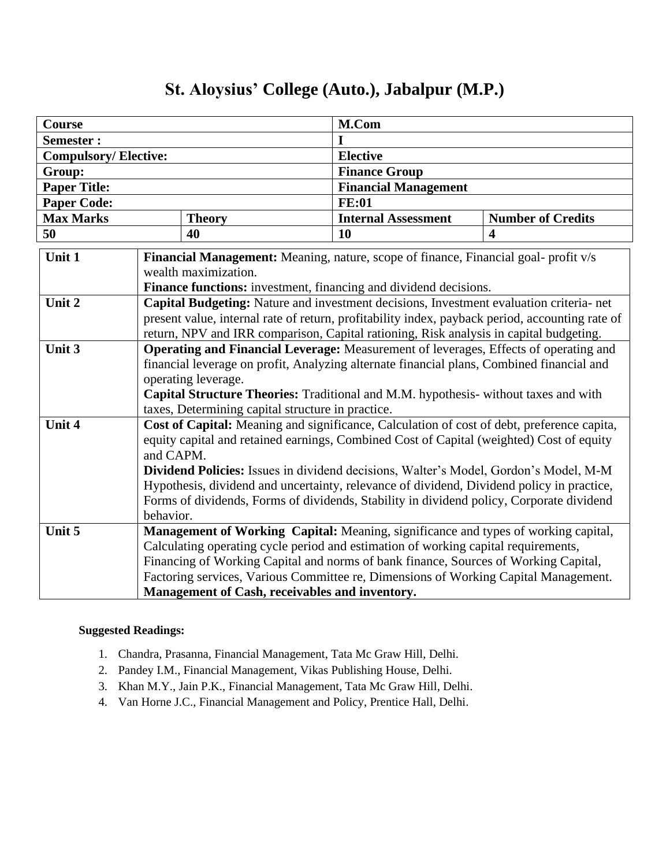### **Course** M.Com **Semester : I Compulsory/ Elective: Elective Group: Finance Group Paper Title: Financial Management Paper Code: FE:01 Max Marks Theory Internal Assessment Number of Credits 50 40 10 4 Unit 1 Financial Management:** Meaning, nature, scope of finance, Financial goal- profit v/s wealth maximization. **Finance functions:** investment, financing and dividend decisions. **Unit 2 Capital Budgeting:** Nature and investment decisions, Investment evaluation criteria- net present value, internal rate of return, profitability index, payback period, accounting rate of return, NPV and IRR comparison, Capital rationing, Risk analysis in capital budgeting. **Unit 3 Operating and Financial Leverage:** Measurement of leverages, Effects of operating and financial leverage on profit, Analyzing alternate financial plans, Combined financial and operating leverage. **Capital Structure Theories:** Traditional and M.M. hypothesis- without taxes and with taxes, Determining capital structure in practice. **Unit 4 Cost of Capital:** Meaning and significance, Calculation of cost of debt, preference capita, equity capital and retained earnings, Combined Cost of Capital (weighted) Cost of equity and CAPM. **Dividend Policies:** Issues in dividend decisions, Walter's Model, Gordon's Model, M-M Hypothesis, dividend and uncertainty, relevance of dividend, Dividend policy in practice, Forms of dividends, Forms of dividends, Stability in dividend policy, Corporate dividend behavior. **Unit 5 Management of Working Capital:** Meaning, significance and types of working capital, Calculating operating cycle period and estimation of working capital requirements, Financing of Working Capital and norms of bank finance, Sources of Working Capital, Factoring services, Various Committee re, Dimensions of Working Capital Management. **Management of Cash, receivables and inventory.**

## **St. Aloysius' College (Auto.), Jabalpur (M.P.)**

- 1. Chandra, Prasanna, Financial Management, Tata Mc Graw Hill, Delhi.
- 2. Pandey I.M., Financial Management, Vikas Publishing House, Delhi.
- 3. Khan M.Y., Jain P.K., Financial Management, Tata Mc Graw Hill, Delhi.
- 4. Van Horne J.C., Financial Management and Policy, Prentice Hall, Delhi.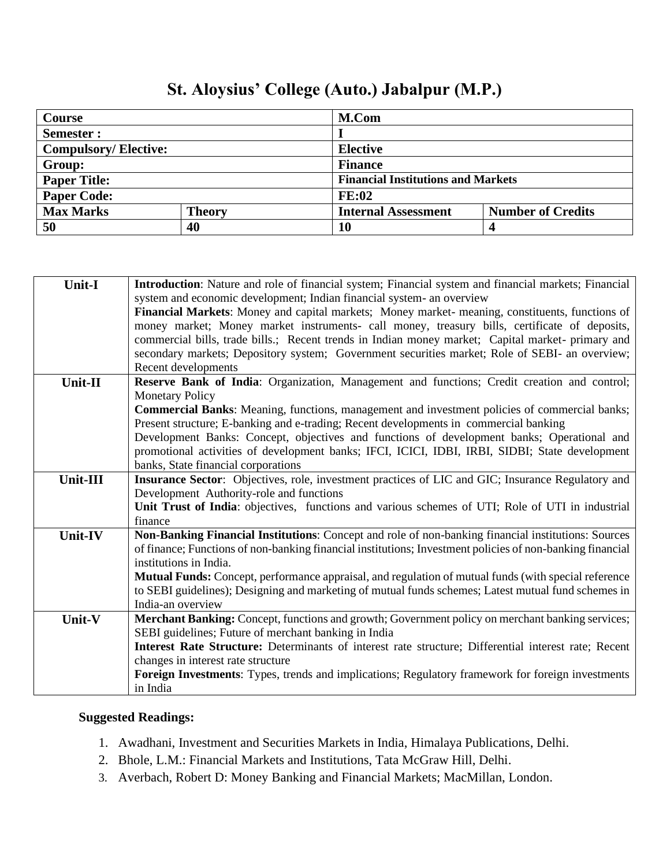| Course                                                          |  | M.Com                    |                                           |  |
|-----------------------------------------------------------------|--|--------------------------|-------------------------------------------|--|
| Semester:                                                       |  |                          |                                           |  |
| <b>Compulsory/Elective:</b>                                     |  | <b>Elective</b>          |                                           |  |
| Group:                                                          |  | <b>Finance</b>           |                                           |  |
| <b>Paper Title:</b>                                             |  |                          | <b>Financial Institutions and Markets</b> |  |
| <b>Paper Code:</b>                                              |  | <b>FE:02</b>             |                                           |  |
| <b>Max Marks</b><br><b>Internal Assessment</b><br><b>Theory</b> |  | <b>Number of Credits</b> |                                           |  |
| 50<br>40                                                        |  | 10                       |                                           |  |

# **St. Aloysius' College (Auto.) Jabalpur (M.P.)**

| system and economic development; Indian financial system- an overview<br>Financial Markets: Money and capital markets; Money market- meaning, constituents, functions of<br>money market; Money market instruments- call money, treasury bills, certificate of deposits,<br>commercial bills, trade bills.; Recent trends in Indian money market; Capital market- primary and<br>secondary markets; Depository system; Government securities market; Role of SEBI- an overview;<br>Recent developments |
|--------------------------------------------------------------------------------------------------------------------------------------------------------------------------------------------------------------------------------------------------------------------------------------------------------------------------------------------------------------------------------------------------------------------------------------------------------------------------------------------------------|
|                                                                                                                                                                                                                                                                                                                                                                                                                                                                                                        |
|                                                                                                                                                                                                                                                                                                                                                                                                                                                                                                        |
|                                                                                                                                                                                                                                                                                                                                                                                                                                                                                                        |
|                                                                                                                                                                                                                                                                                                                                                                                                                                                                                                        |
|                                                                                                                                                                                                                                                                                                                                                                                                                                                                                                        |
|                                                                                                                                                                                                                                                                                                                                                                                                                                                                                                        |
| Reserve Bank of India: Organization, Management and functions; Credit creation and control;<br>$Unit-II$                                                                                                                                                                                                                                                                                                                                                                                               |
| <b>Monetary Policy</b>                                                                                                                                                                                                                                                                                                                                                                                                                                                                                 |
| <b>Commercial Banks:</b> Meaning, functions, management and investment policies of commercial banks;                                                                                                                                                                                                                                                                                                                                                                                                   |
| Present structure; E-banking and e-trading; Recent developments in commercial banking                                                                                                                                                                                                                                                                                                                                                                                                                  |
| Development Banks: Concept, objectives and functions of development banks; Operational and                                                                                                                                                                                                                                                                                                                                                                                                             |
| promotional activities of development banks; IFCI, ICICI, IDBI, IRBI, SIDBI; State development                                                                                                                                                                                                                                                                                                                                                                                                         |
| banks, State financial corporations                                                                                                                                                                                                                                                                                                                                                                                                                                                                    |
| <b>Insurance Sector:</b> Objectives, role, investment practices of LIC and GIC; Insurance Regulatory and<br>Unit-III                                                                                                                                                                                                                                                                                                                                                                                   |
| Development Authority-role and functions                                                                                                                                                                                                                                                                                                                                                                                                                                                               |
| Unit Trust of India: objectives, functions and various schemes of UTI; Role of UTI in industrial                                                                                                                                                                                                                                                                                                                                                                                                       |
| finance                                                                                                                                                                                                                                                                                                                                                                                                                                                                                                |
| Non-Banking Financial Institutions: Concept and role of non-banking financial institutions: Sources<br>Unit-IV                                                                                                                                                                                                                                                                                                                                                                                         |
| of finance; Functions of non-banking financial institutions; Investment policies of non-banking financial                                                                                                                                                                                                                                                                                                                                                                                              |
| institutions in India.                                                                                                                                                                                                                                                                                                                                                                                                                                                                                 |
| Mutual Funds: Concept, performance appraisal, and regulation of mutual funds (with special reference                                                                                                                                                                                                                                                                                                                                                                                                   |
| to SEBI guidelines); Designing and marketing of mutual funds schemes; Latest mutual fund schemes in                                                                                                                                                                                                                                                                                                                                                                                                    |
| India-an overview                                                                                                                                                                                                                                                                                                                                                                                                                                                                                      |
| Merchant Banking: Concept, functions and growth; Government policy on merchant banking services;<br>Unit-V                                                                                                                                                                                                                                                                                                                                                                                             |
| SEBI guidelines; Future of merchant banking in India                                                                                                                                                                                                                                                                                                                                                                                                                                                   |
| Interest Rate Structure: Determinants of interest rate structure; Differential interest rate; Recent                                                                                                                                                                                                                                                                                                                                                                                                   |
| changes in interest rate structure                                                                                                                                                                                                                                                                                                                                                                                                                                                                     |
| Foreign Investments: Types, trends and implications; Regulatory framework for foreign investments                                                                                                                                                                                                                                                                                                                                                                                                      |
| in India                                                                                                                                                                                                                                                                                                                                                                                                                                                                                               |

### **Suggested Readings:**

Г

- 1. Awadhani, Investment and Securities Markets in India, Himalaya Publications, Delhi.
- 2. Bhole, L.M.: Financial Markets and Institutions, Tata McGraw Hill, Delhi.
- 3. Averbach, Robert D: Money Banking and Financial Markets; MacMillan, London.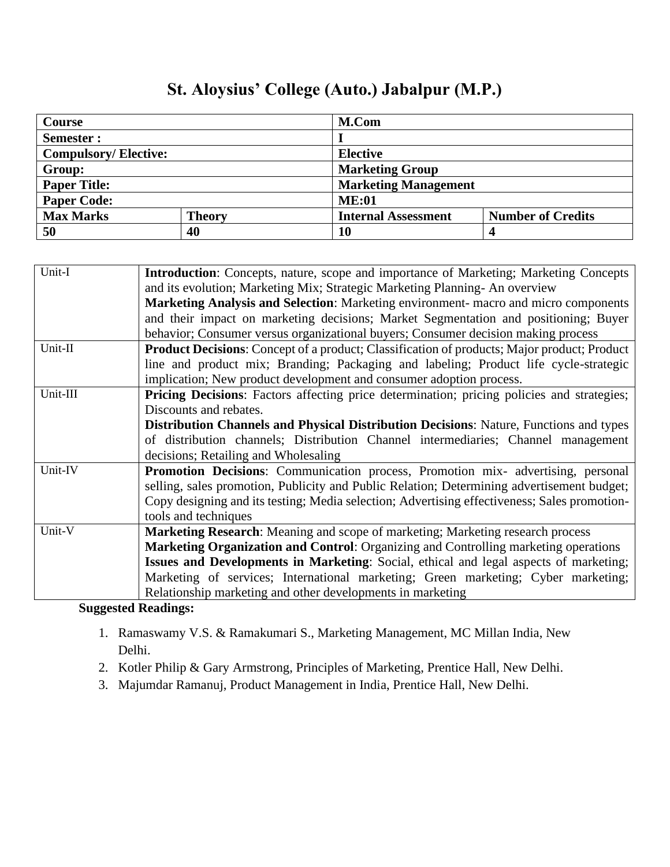| Course                            |  | M.Com                      |                             |  |
|-----------------------------------|--|----------------------------|-----------------------------|--|
| Semester :                        |  |                            |                             |  |
| <b>Compulsory/Elective:</b>       |  | <b>Elective</b>            |                             |  |
| Group:                            |  | <b>Marketing Group</b>     |                             |  |
| <b>Paper Title:</b>               |  |                            | <b>Marketing Management</b> |  |
| <b>Paper Code:</b>                |  | <b>ME:01</b>               |                             |  |
| <b>Max Marks</b><br><b>Theory</b> |  | <b>Internal Assessment</b> | <b>Number of Credits</b>    |  |
| 50<br>40                          |  | 10                         |                             |  |

## **St. Aloysius' College (Auto.) Jabalpur (M.P.)**

| Unit-I        | <b>Introduction:</b> Concepts, nature, scope and importance of Marketing; Marketing Concepts       |
|---------------|----------------------------------------------------------------------------------------------------|
|               | and its evolution; Marketing Mix; Strategic Marketing Planning- An overview                        |
|               | Marketing Analysis and Selection: Marketing environment- macro and micro components                |
|               | and their impact on marketing decisions; Market Segmentation and positioning; Buyer                |
|               | behavior; Consumer versus organizational buyers; Consumer decision making process                  |
| Unit-II       | <b>Product Decisions:</b> Concept of a product; Classification of products; Major product; Product |
|               | line and product mix; Branding; Packaging and labeling; Product life cycle-strategic               |
|               | implication; New product development and consumer adoption process.                                |
| Unit-III      | Pricing Decisions: Factors affecting price determination; pricing policies and strategies;         |
|               | Discounts and rebates.                                                                             |
|               | <b>Distribution Channels and Physical Distribution Decisions:</b> Nature, Functions and types      |
|               | of distribution channels; Distribution Channel intermediaries; Channel management                  |
|               | decisions; Retailing and Wholesaling                                                               |
| Unit-IV       | Promotion Decisions: Communication process, Promotion mix- advertising, personal                   |
|               | selling, sales promotion, Publicity and Public Relation; Determining advertisement budget;         |
|               | Copy designing and its testing; Media selection; Advertising effectiveness; Sales promotion-       |
|               | tools and techniques                                                                               |
| Unit-V        | Marketing Research: Meaning and scope of marketing; Marketing research process                     |
|               | Marketing Organization and Control: Organizing and Controlling marketing operations                |
|               | Issues and Developments in Marketing: Social, ethical and legal aspects of marketing;              |
|               | Marketing of services; International marketing; Green marketing; Cyber marketing;                  |
|               | Relationship marketing and other developments in marketing                                         |
| $\sim$ $\sim$ |                                                                                                    |

- 1. Ramaswamy V.S. & Ramakumari S., Marketing Management, MC Millan India, New Delhi.
- 2. Kotler Philip & Gary Armstrong, Principles of Marketing, Prentice Hall, New Delhi.
- 3. Majumdar Ramanuj, Product Management in India, Prentice Hall, New Delhi.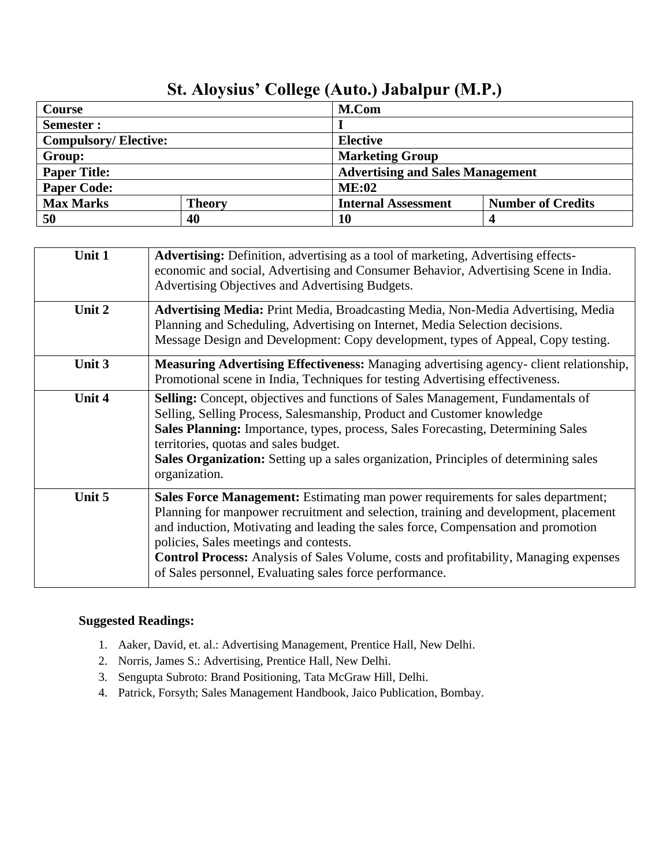| Course                      |               | M.Com                                   |                          |
|-----------------------------|---------------|-----------------------------------------|--------------------------|
| Semester :                  |               |                                         |                          |
| <b>Compulsory/Elective:</b> |               | <b>Elective</b>                         |                          |
| Group:                      |               | <b>Marketing Group</b>                  |                          |
| <b>Paper Title:</b>         |               | <b>Advertising and Sales Management</b> |                          |
| <b>Paper Code:</b>          |               | ME:02                                   |                          |
| <b>Max Marks</b>            | <b>Theory</b> | <b>Internal Assessment</b>              | <b>Number of Credits</b> |
| 50                          | 40            | 10                                      |                          |

## **St. Aloysius' College (Auto.) Jabalpur (M.P.)**

| Unit 1        | <b>Advertising:</b> Definition, advertising as a tool of marketing, Advertising effects-<br>economic and social, Advertising and Consumer Behavior, Advertising Scene in India.<br>Advertising Objectives and Advertising Budgets.                                                                                                                                                                                                                                |
|---------------|-------------------------------------------------------------------------------------------------------------------------------------------------------------------------------------------------------------------------------------------------------------------------------------------------------------------------------------------------------------------------------------------------------------------------------------------------------------------|
| Unit 2        | Advertising Media: Print Media, Broadcasting Media, Non-Media Advertising, Media<br>Planning and Scheduling, Advertising on Internet, Media Selection decisions.<br>Message Design and Development: Copy development, types of Appeal, Copy testing.                                                                                                                                                                                                              |
| Unit 3        | <b>Measuring Advertising Effectiveness:</b> Managing advertising agency-client relationship,<br>Promotional scene in India, Techniques for testing Advertising effectiveness.                                                                                                                                                                                                                                                                                     |
| <b>Unit 4</b> | <b>Selling:</b> Concept, objectives and functions of Sales Management, Fundamentals of<br>Selling, Selling Process, Salesmanship, Product and Customer knowledge<br>Sales Planning: Importance, types, process, Sales Forecasting, Determining Sales<br>territories, quotas and sales budget.<br><b>Sales Organization:</b> Setting up a sales organization, Principles of determining sales<br>organization.                                                     |
| Unit 5        | Sales Force Management: Estimating man power requirements for sales department;<br>Planning for manpower recruitment and selection, training and development, placement<br>and induction, Motivating and leading the sales force, Compensation and promotion<br>policies, Sales meetings and contests.<br><b>Control Process:</b> Analysis of Sales Volume, costs and profitability, Managing expenses<br>of Sales personnel, Evaluating sales force performance. |

- 1. Aaker, David, et. al.: Advertising Management, Prentice Hall, New Delhi.
- 2. Norris, James S.: Advertising, Prentice Hall, New Delhi.
- 3. Sengupta Subroto: Brand Positioning, Tata McGraw Hill, Delhi.
- 4. Patrick, Forsyth; Sales Management Handbook, Jaico Publication, Bombay.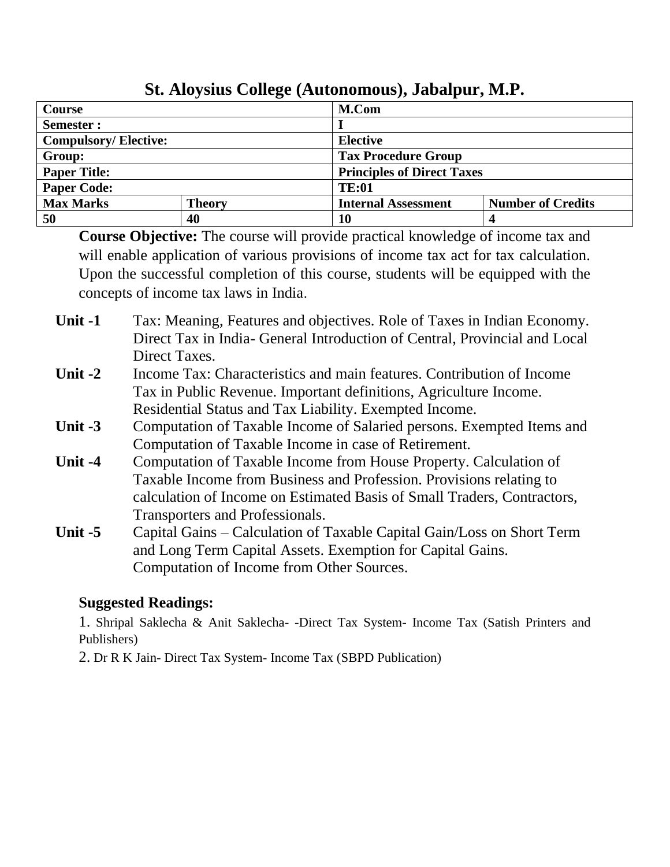| <b>Course</b>               |               |    | M.Com                             |                          |  |
|-----------------------------|---------------|----|-----------------------------------|--------------------------|--|
| Semester:                   |               |    |                                   |                          |  |
| <b>Compulsory/Elective:</b> |               |    | <b>Elective</b>                   |                          |  |
| Group:                      |               |    | <b>Tax Procedure Group</b>        |                          |  |
| <b>Paper Title:</b>         |               |    | <b>Principles of Direct Taxes</b> |                          |  |
| <b>Paper Code:</b>          |               |    | <b>TE:01</b>                      |                          |  |
| <b>Max Marks</b>            | <b>Theory</b> |    | <b>Internal Assessment</b>        | <b>Number of Credits</b> |  |
| 50                          | 40            | 10 |                                   |                          |  |

**St. Aloysius College (Autonomous), Jabalpur, M.P.**

**Course Objective:** The course will provide practical knowledge of income tax and will enable application of various provisions of income tax act for tax calculation. Upon the successful completion of this course, students will be equipped with the concepts of income tax laws in India.

**Unit -1** Tax: Meaning, Features and objectives. Role of Taxes in Indian Economy. Direct Tax in India- General Introduction of Central, Provincial and Local Direct Taxes.

- **Unit -2** Income Tax: Characteristics and main features. Contribution of Income Tax in Public Revenue. Important definitions, Agriculture Income. Residential Status and Tax Liability. Exempted Income.
- **Unit -3** Computation of Taxable Income of Salaried persons. Exempted Items and Computation of Taxable Income in case of Retirement.
- **Unit -4** Computation of Taxable Income from House Property. Calculation of Taxable Income from Business and Profession. Provisions relating to calculation of Income on Estimated Basis of Small Traders, Contractors, Transporters and Professionals.
- **Unit -5** Capital Gains Calculation of Taxable Capital Gain/Loss on Short Term and Long Term Capital Assets. Exemption for Capital Gains. Computation of Income from Other Sources.

### **Suggested Readings:**

1. Shripal Saklecha & Anit Saklecha- -Direct Tax System- Income Tax (Satish Printers and Publishers)

2. Dr R K Jain- Direct Tax System- Income Tax (SBPD Publication)